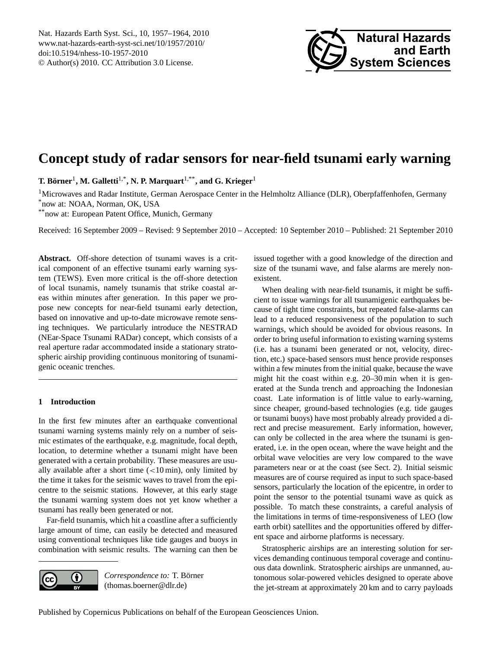<span id="page-0-0"></span>Nat. Hazards Earth Syst. Sci., 10, 1957–1964, 2010 www.nat-hazards-earth-syst-sci.net/10/1957/2010/ doi:10.5194/nhess-10-1957-2010 © Author(s) 2010. CC Attribution 3.0 License.



# **Concept study of radar sensors for near-field tsunami early warning**

 $\bf{T.}\ B\ddot{o}rner^1, \bf{M.}\ Galletti^{1,*}, \bf{N.}\ \bf{P.}\ Marquart^{1,**}, and\ \bf{G.}\ Krieger^1$ 

<sup>1</sup>Microwaves and Radar Institute, German Aerospace Center in the Helmholtz Alliance (DLR), Oberpfaffenhofen, Germany \*now at: NOAA, Norman, OK, USA

\*\*now at: European Patent Office, Munich, Germany

Received: 16 September 2009 – Revised: 9 September 2010 – Accepted: 10 September 2010 – Published: 21 September 2010

**Abstract.** Off-shore detection of tsunami waves is a critical component of an effective tsunami early warning system (TEWS). Even more critical is the off-shore detection of local tsunamis, namely tsunamis that strike coastal areas within minutes after generation. In this paper we propose new concepts for near-field tsunami early detection, based on innovative and up-to-date microwave remote sensing techniques. We particularly introduce the NESTRAD (NEar-Space Tsunami RADar) concept, which consists of a real aperture radar accommodated inside a stationary stratospheric airship providing continuous monitoring of tsunamigenic oceanic trenches.

# **1 Introduction**

In the first few minutes after an earthquake conventional tsunami warning systems mainly rely on a number of seismic estimates of the earthquake, e.g. magnitude, focal depth, location, to determine whether a tsunami might have been generated with a certain probability. These measures are usually available after a short time  $\left($  < 10 min), only limited by the time it takes for the seismic waves to travel from the epicentre to the seismic stations. However, at this early stage the tsunami warning system does not yet know whether a tsunami has really been generated or not.

Far-field tsunamis, which hit a coastline after a sufficiently large amount of time, can easily be detected and measured using conventional techniques like tide gauges and buoys in combination with seismic results. The warning can then be



*Correspondence to:* T. Börner (thomas.boerner@dlr.de)

issued together with a good knowledge of the direction and size of the tsunami wave, and false alarms are merely nonexistent.

When dealing with near-field tsunamis, it might be sufficient to issue warnings for all tsunamigenic earthquakes because of tight time constraints, but repeated false-alarms can lead to a reduced responsiveness of the population to such warnings, which should be avoided for obvious reasons. In order to bring useful information to existing warning systems (i.e. has a tsunami been generated or not, velocity, direction, etc.) space-based sensors must hence provide responses within a few minutes from the initial quake, because the wave might hit the coast within e.g. 20–30 min when it is generated at the Sunda trench and approaching the Indonesian coast. Late information is of little value to early-warning, since cheaper, ground-based technologies (e.g. tide gauges or tsunami buoys) have most probably already provided a direct and precise measurement. Early information, however, can only be collected in the area where the tsunami is generated, i.e. in the open ocean, where the wave height and the orbital wave velocities are very low compared to the wave parameters near or at the coast (see Sect. 2). Initial seismic measures are of course required as input to such space-based sensors, particularly the location of the epicentre, in order to point the sensor to the potential tsunami wave as quick as possible. To match these constraints, a careful analysis of the limitations in terms of time-responsiveness of LEO (low earth orbit) satellites and the opportunities offered by different space and airborne platforms is necessary.

Stratospheric airships are an interesting solution for services demanding continuous temporal coverage and continuous data downlink. Stratospheric airships are unmanned, autonomous solar-powered vehicles designed to operate above the jet-stream at approximately 20 km and to carry payloads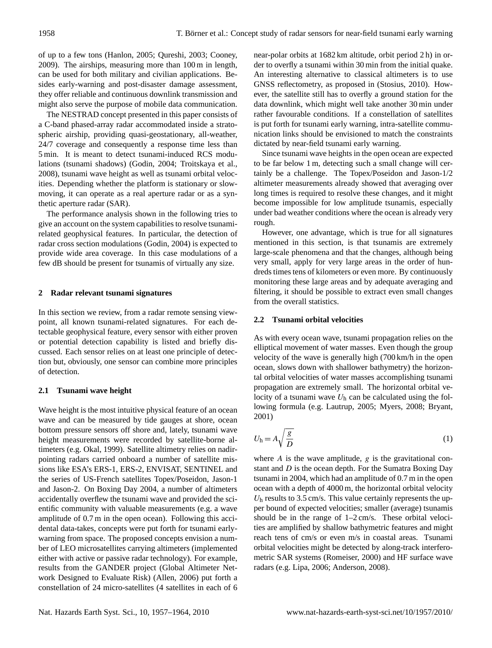of up to a few tons (Hanlon, 2005; Qureshi, 2003; Cooney, 2009). The airships, measuring more than 100 m in length, can be used for both military and civilian applications. Besides early-warning and post-disaster damage assessment, they offer reliable and continuous downlink transmission and might also serve the purpose of mobile data communication.

The NESTRAD concept presented in this paper consists of a C-band phased-array radar accommodated inside a stratospheric airship, providing quasi-geostationary, all-weather, 24/7 coverage and consequently a response time less than 5 min. It is meant to detect tsunami-induced RCS modulations (tsunami shadows) (Godin, 2004; Troitskaya et al., 2008), tsunami wave height as well as tsunami orbital velocities. Depending whether the platform is stationary or slowmoving, it can operate as a real aperture radar or as a synthetic aperture radar (SAR).

The performance analysis shown in the following tries to give an account on the system capabilities to resolve tsunamirelated geophysical features. In particular, the detection of radar cross section modulations (Godin, 2004) is expected to provide wide area coverage. In this case modulations of a few dB should be present for tsunamis of virtually any size.

#### **2 Radar relevant tsunami signatures**

In this section we review, from a radar remote sensing viewpoint, all known tsunami-related signatures. For each detectable geophysical feature, every sensor with either proven or potential detection capability is listed and briefly discussed. Each sensor relies on at least one principle of detection but, obviously, one sensor can combine more principles of detection.

## **2.1 Tsunami wave height**

Wave height is the most intuitive physical feature of an ocean wave and can be measured by tide gauges at shore, ocean bottom pressure sensors off shore and, lately, tsunami wave height measurements were recorded by satellite-borne altimeters (e.g. Okal, 1999). Satellite altimetry relies on nadirpointing radars carried onboard a number of satellite missions like ESA's ERS-1, ERS-2, ENVISAT, SENTINEL and the series of US-French satellites Topex/Poseidon, Jason-1 and Jason-2. On Boxing Day 2004, a number of altimeters accidentally overflew the tsunami wave and provided the scientific community with valuable measurements (e.g. a wave amplitude of 0.7 m in the open ocean). Following this accidental data-takes, concepts were put forth for tsunami earlywarning from space. The proposed concepts envision a number of LEO microsatellites carrying altimeters (implemented either with active or passive radar technology). For example, results from the GANDER project (Global Altimeter Network Designed to Evaluate Risk) (Allen, 2006) put forth a constellation of 24 micro-satellites (4 satellites in each of 6 near-polar orbits at 1682 km altitude, orbit period 2 h) in order to overfly a tsunami within 30 min from the initial quake. An interesting alternative to classical altimeters is to use GNSS reflectometry, as proposed in (Stosius, 2010). However, the satellite still has to overfly a ground station for the data downlink, which might well take another 30 min under rather favourable conditions. If a constellation of satellites is put forth for tsunami early warning, intra-satellite communication links should be envisioned to match the constraints dictated by near-field tsunami early warning.

Since tsunami wave heights in the open ocean are expected to be far below 1 m, detecting such a small change will certainly be a challenge. The Topex/Poseidon and Jason-1/2 altimeter measurements already showed that averaging over long times is required to resolve these changes, and it might become impossible for low amplitude tsunamis, especially under bad weather conditions where the ocean is already very rough.

However, one advantage, which is true for all signatures mentioned in this section, is that tsunamis are extremely large-scale phenomena and that the changes, although being very small, apply for very large areas in the order of hundreds times tens of kilometers or even more. By continuously monitoring these large areas and by adequate averaging and filtering, it should be possible to extract even small changes from the overall statistics.

#### **2.2 Tsunami orbital velocities**

As with every ocean wave, tsunami propagation relies on the elliptical movement of water masses. Even though the group velocity of the wave is generally high (700 km/h in the open ocean, slows down with shallower bathymetry) the horizontal orbital velocities of water masses accomplishing tsunami propagation are extremely small. The horizontal orbital velocity of a tsunami wave  $U<sub>h</sub>$  can be calculated using the following formula (e.g. Lautrup, 2005; Myers, 2008; Bryant, 2001)

$$
U_{\rm h} = A \sqrt{\frac{g}{D}} \tag{1}
$$

where  $A$  is the wave amplitude,  $g$  is the gravitational constant and D is the ocean depth. For the Sumatra Boxing Day tsunami in 2004, which had an amplitude of 0.7 m in the open ocean with a depth of 4000 m, the horizontal orbital velocity  $U<sub>h</sub>$  results to 3.5 cm/s. This value certainly represents the upper bound of expected velocities; smaller (average) tsunamis should be in the range of 1–2 cm/s. These orbital velocities are amplified by shallow bathymetric features and might reach tens of cm/s or even m/s in coastal areas. Tsunami orbital velocities might be detected by along-track interferometric SAR systems (Romeiser, 2000) and HF surface wave radars (e.g. Lipa, 2006; Anderson, 2008).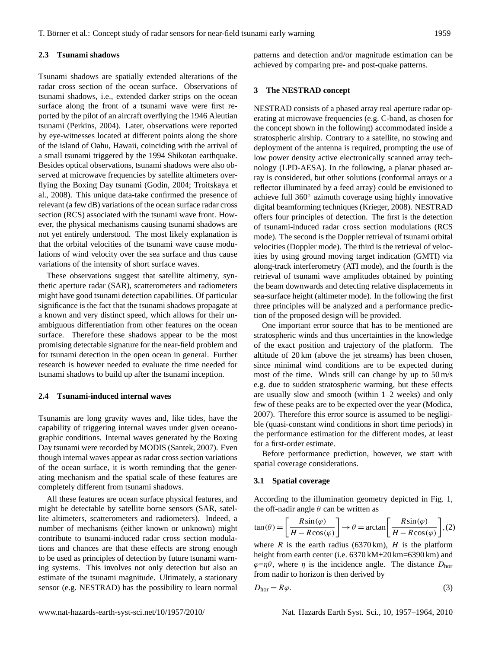#### **2.3 Tsunami shadows**

Tsunami shadows are spatially extended alterations of the radar cross section of the ocean surface. Observations of tsunami shadows, i.e., extended darker strips on the ocean surface along the front of a tsunami wave were first reported by the pilot of an aircraft overflying the 1946 Aleutian tsunami (Perkins, 2004). Later, observations were reported by eye-witnesses located at different points along the shore of the island of Oahu, Hawaii, coinciding with the arrival of a small tsunami triggered by the 1994 Shikotan earthquake. Besides optical observations, tsunami shadows were also observed at microwave frequencies by satellite altimeters overflying the Boxing Day tsunami (Godin, 2004; Troitskaya et al., 2008). This unique data-take confirmed the presence of relevant (a few dB) variations of the ocean surface radar cross section (RCS) associated with the tsunami wave front. However, the physical mechanisms causing tsunami shadows are not yet entirely understood. The most likely explanation is that the orbital velocities of the tsunami wave cause modulations of wind velocity over the sea surface and thus cause variations of the intensity of short surface waves.

These observations suggest that satellite altimetry, synthetic aperture radar (SAR), scatterometers and radiometers might have good tsunami detection capabilities. Of particular significance is the fact that the tsunami shadows propagate at a known and very distinct speed, which allows for their unambiguous differentiation from other features on the ocean surface. Therefore these shadows appear to be the most promising detectable signature for the near-field problem and for tsunami detection in the open ocean in general. Further research is however needed to evaluate the time needed for tsunami shadows to build up after the tsunami inception.

#### **2.4 Tsunami-induced internal waves**

Tsunamis are long gravity waves and, like tides, have the capability of triggering internal waves under given oceanographic conditions. Internal waves generated by the Boxing Day tsunami were recorded by MODIS (Santek, 2007). Even though internal waves appear as radar cross section variations of the ocean surface, it is worth reminding that the generating mechanism and the spatial scale of these features are completely different from tsunami shadows.

All these features are ocean surface physical features, and might be detectable by satellite borne sensors (SAR, satellite altimeters, scatterometers and radiometers). Indeed, a number of mechanisms (either known or unknown) might contribute to tsunami-induced radar cross section modulations and chances are that these effects are strong enough to be used as principles of detection by future tsunami warning systems. This involves not only detection but also an estimate of the tsunami magnitude. Ultimately, a stationary sensor (e.g. NESTRAD) has the possibility to learn normal patterns and detection and/or magnitude estimation can be achieved by comparing pre- and post-quake patterns.

#### **3 The NESTRAD concept**

NESTRAD consists of a phased array real aperture radar operating at microwave frequencies (e.g. C-band, as chosen for the concept shown in the following) accommodated inside a stratospheric airship. Contrary to a satellite, no stowing and deployment of the antenna is required, prompting the use of low power density active electronically scanned array technology (LPD-AESA). In the following, a planar phased array is considered, but other solutions (conformal arrays or a reflector illuminated by a feed array) could be envisioned to achieve full 360◦ azimuth coverage using highly innovative digital beamforming techniques (Krieger, 2008). NESTRAD offers four principles of detection. The first is the detection of tsunami-induced radar cross section modulations (RCS mode). The second is the Doppler retrieval of tsunami orbital velocities (Doppler mode). The third is the retrieval of velocities by using ground moving target indication (GMTI) via along-track interferometry (ATI mode), and the fourth is the retrieval of tsunami wave amplitudes obtained by pointing the beam downwards and detecting relative displacements in sea-surface height (altimeter mode). In the following the first three principles will be analyzed and a performance prediction of the proposed design will be provided.

One important error source that has to be mentioned are stratospheric winds and thus uncertainties in the knowledge of the exact position and trajectory of the platform. The altitude of 20 km (above the jet streams) has been chosen, since minimal wind conditions are to be expected during most of the time. Winds still can change by up to 50 m/s e.g. due to sudden stratospheric warming, but these effects are usually slow and smooth (within 1–2 weeks) and only few of these peaks are to be expected over the year (Modica, 2007). Therefore this error source is assumed to be negligible (quasi-constant wind conditions in short time periods) in the performance estimation for the different modes, at least for a first-order estimate.

Before performance prediction, however, we start with spatial coverage considerations.

#### **3.1 Spatial coverage**

According to the illumination geometry depicted in Fig. 1, the off-nadir angle  $\theta$  can be written as

$$
\tan(\theta) = \left[\frac{R\sin(\varphi)}{H - R\cos(\varphi)}\right] \to \theta = \arctan\left[\frac{R\sin(\varphi)}{H - R\cos(\varphi)}\right], (2)
$$

where R is the earth radius (6370 km), H is the platform height from earth center (i.e.  $6370 \text{ kM} + 20 \text{ km} = 6390 \text{ km}$ ) and  $\varphi = \eta \theta$ , where  $\eta$  is the incidence angle. The distance  $D_{\text{hor}}$ from nadir to horizon is then derived by

$$
D_{\text{hor}} = R\varphi. \tag{3}
$$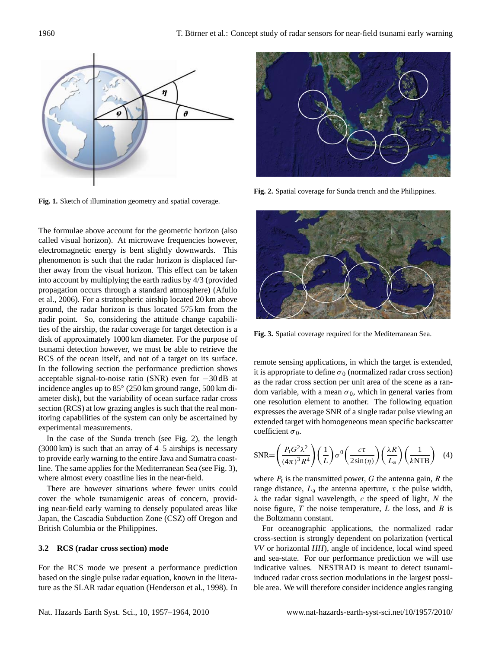

**Fig. 1.** Sketch of illumination geometry and spatial coverage.

The formulae above account for the geometric horizon (also called visual horizon). At microwave frequencies however, electromagnetic energy is bent slightly downwards. This phenomenon is such that the radar horizon is displaced farther away from the visual horizon. This effect can be taken into account by multiplying the earth radius by 4/3 (provided propagation occurs through a standard atmosphere) (Afullo et al., 2006). For a stratospheric airship located 20 km above ground, the radar horizon is thus located 575 km from the nadir point. So, considering the attitude change capabilities of the airship, the radar coverage for target detection is a disk of approximately 1000 km diameter. For the purpose of tsunami detection however, we must be able to retrieve the RCS of the ocean itself, and not of a target on its surface. In the following section the performance prediction shows acceptable signal-to-noise ratio (SNR) even for −30 dB at incidence angles up to 85◦ (250 km ground range, 500 km diameter disk), but the variability of ocean surface radar cross section (RCS) at low grazing angles is such that the real monitoring capabilities of the system can only be ascertained by experimental measurements.

In the case of the Sunda trench (see Fig. 2), the length (3000 km) is such that an array of 4–5 airships is necessary to provide early warning to the entire Java and Sumatra coastline. The same applies for the Mediterranean Sea (see Fig. 3), where almost every coastline lies in the near-field.

There are however situations where fewer units could cover the whole tsunamigenic areas of concern, providing near-field early warning to densely populated areas like Japan, the Cascadia Subduction Zone (CSZ) off Oregon and British Columbia or the Philippines.

#### **3.2 RCS (radar cross section) mode**

For the RCS mode we present a performance prediction based on the single pulse radar equation, known in the literature as the SLAR radar equation (Henderson et al., 1998). In



**Fig. 2.** Spatial coverage for Sunda trench and the Philippines.



**Fig. 3.** Spatial coverage required for the Mediterranean Sea.

remote sensing applications, in which the target is extended, it is appropriate to define  $\sigma_0$  (normalized radar cross section) as the radar cross section per unit area of the scene as a random variable, with a mean  $\sigma_0$ , which in general varies from one resolution element to another. The following equation expresses the average SNR of a single radar pulse viewing an extended target with homogeneous mean specific backscatter coefficient  $\sigma_0$ .

$$
SNR = \left(\frac{P_t G^2 \lambda^2}{(4\pi)^3 R^4}\right) \left(\frac{1}{L}\right) \sigma^0 \left(\frac{c\tau}{2\sin(\eta)}\right) \left(\frac{\lambda R}{L_a}\right) \left(\frac{1}{kNTB}\right) \quad (4)
$$

where  $P_t$  is the transmitted power, G the antenna gain, R the range distance,  $L_a$  the antenna aperture,  $\tau$  the pulse width,  $\lambda$  the radar signal wavelength, c the speed of light, N the noise figure,  $T$  the noise temperature,  $L$  the loss, and  $B$  is the Boltzmann constant.

For oceanographic applications, the normalized radar cross-section is strongly dependent on polarization (vertical *VV* or horizontal *HH*), angle of incidence, local wind speed and sea-state. For our performance prediction we will use indicative values. NESTRAD is meant to detect tsunamiinduced radar cross section modulations in the largest possible area. We will therefore consider incidence angles ranging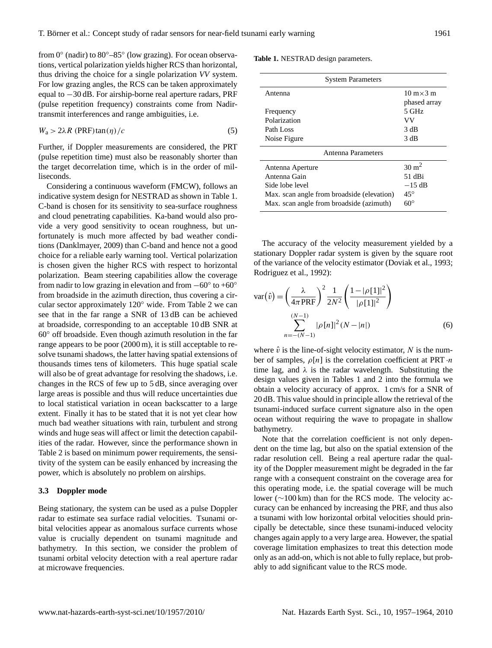from 0° (nadir) to 80°-85° (low grazing). For ocean observations, vertical polarization yields higher RCS than horizontal, thus driving the choice for a single polarization *VV* system. For low grazing angles, the RCS can be taken approximately equal to −30 dB. For airship-borne real aperture radars, PRF (pulse repetition frequency) constraints come from Nadirtransmit interferences and range ambiguities, i.e.

$$
W_a > 2\lambda R \text{ (PRF)} \tan(\eta) / c \tag{5}
$$

Further, if Doppler measurements are considered, the PRT (pulse repetition time) must also be reasonably shorter than the target decorrelation time, which is in the order of milliseconds.

Considering a continuous waveform (FMCW), follows an indicative system design for NESTRAD as shown in Table 1. C-band is chosen for its sensitivity to sea-surface roughness and cloud penetrating capabilities. Ka-band would also provide a very good sensitivity to ocean roughness, but unfortunately is much more affected by bad weather conditions (Danklmayer, 2009) than C-band and hence not a good choice for a reliable early warning tool. Vertical polarization is chosen given the higher RCS with respect to horizontal polarization. Beam steering capabilities allow the coverage from nadir to low grazing in elevation and from  $-60^\circ$  to  $+60^\circ$ from broadside in the azimuth direction, thus covering a circular sector approximately 120◦ wide. From Table 2 we can see that in the far range a SNR of 13 dB can be achieved at broadside, corresponding to an acceptable 10 dB SNR at 60◦ off broadside. Even though azimuth resolution in the far range appears to be poor (2000 m), it is still acceptable to resolve tsunami shadows, the latter having spatial extensions of thousands times tens of kilometers. This huge spatial scale will also be of great advantage for resolving the shadows, i.e. changes in the RCS of few up to 5 dB, since averaging over large areas is possible and thus will reduce uncertainties due to local statistical variation in ocean backscatter to a large extent. Finally it has to be stated that it is not yet clear how much bad weather situations with rain, turbulent and strong winds and huge seas will affect or limit the detection capabilities of the radar. However, since the performance shown in Table 2 is based on minimum power requirements, the sensitivity of the system can be easily enhanced by increasing the power, which is absolutely no problem on airships.

# **3.3 Doppler mode**

Being stationary, the system can be used as a pulse Doppler radar to estimate sea surface radial velocities. Tsunami orbital velocities appear as anomalous surface currents whose value is crucially dependent on tsunami magnitude and bathymetry. In this section, we consider the problem of tsunami orbital velocity detection with a real aperture radar at microwave frequencies.

|  | <b>Table 1. NESTRAD</b> design parameters. |  |  |
|--|--------------------------------------------|--|--|
|--|--------------------------------------------|--|--|

| <b>System Parameters</b>                   |                                   |
|--------------------------------------------|-----------------------------------|
| Antenna                                    | $10 \text{ m} \times 3 \text{ m}$ |
|                                            | phased array                      |
| Frequency                                  | 5 GHz                             |
| Polarization                               | VV                                |
| Path Loss                                  | 3 dB                              |
| Noise Figure                               | 3 dB                              |
| Antenna Parameters                         |                                   |
| Antenna Aperture                           | $30 \text{ m}^2$                  |
| Antenna Gain                               | 51 dBi                            |
| Side lobe level                            | $-15$ dB                          |
| Max. scan angle from broadside (elevation) | $45^{\circ}$                      |
| Max. scan angle from broadside (azimuth)   | $60^{\circ}$                      |

The accuracy of the velocity measurement yielded by a stationary Doppler radar system is given by the square root of the variance of the velocity estimator (Doviak et al., 1993; Rodriguez et al., 1992):

$$
var(\hat{v}) = \left(\frac{\lambda}{4\pi PRF}\right)^2 \frac{1}{2N^2} \left(\frac{1 - |\rho[1]|^2}{|\rho[1]|^2}\right)
$$

$$
\sum_{n = -(N-1)}^{(N-1)} |\rho[n]|^2 (N - |n|)
$$
(6)

where  $\hat{v}$  is the line-of-sight velocity estimator, N is the number of samples,  $\rho[n]$  is the correlation coefficient at PRT  $\cdot n$ time lag, and  $\lambda$  is the radar wavelength. Substituting the design values given in Tables 1 and 2 into the formula we obtain a velocity accuracy of approx. 1 cm/s for a SNR of 20 dB. This value should in principle allow the retrieval of the tsunami-induced surface current signature also in the open ocean without requiring the wave to propagate in shallow bathymetry.

Note that the correlation coefficient is not only dependent on the time lag, but also on the spatial extension of the radar resolution cell. Being a real aperture radar the quality of the Doppler measurement might be degraded in the far range with a consequent constraint on the coverage area for this operating mode, i.e. the spatial coverage will be much lower (∼100 km) than for the RCS mode. The velocity accuracy can be enhanced by increasing the PRF, and thus also a tsunami with low horizontal orbital velocities should principally be detectable, since these tsunami-induced velocity changes again apply to a very large area. However, the spatial coverage limitation emphasizes to treat this detection mode only as an add-on, which is not able to fully replace, but probably to add significant value to the RCS mode.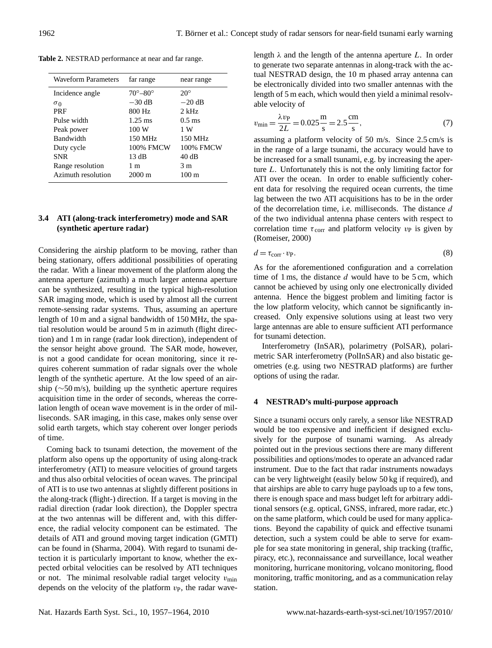**Table 2.** NESTRAD performance at near and far range.

| <b>Waveform Parameters</b> | far range             | near range      |
|----------------------------|-----------------------|-----------------|
| Incidence angle            | $70^\circ - 80^\circ$ | $20^{\circ}$    |
| $\sigma_0$                 | $-30$ dB              | $-20$ dB        |
| <b>PRF</b>                 | 800 Hz                | $2$ kHz         |
| Pulse width                | $1.25 \text{ ms}$     | $0.5$ ms        |
| Peak power                 | 100 W                 | 1 W             |
| <b>Bandwidth</b>           | 150 MHz               | 150 MHz         |
| Duty cycle                 | 100% FMCW             | 100% FMCW       |
| <b>SNR</b>                 | 13 dB                 | 40dB            |
| Range resolution           | 1 m                   | 3 m             |
| Azimuth resolution         | $2000 \text{ m}$      | $100 \text{ m}$ |
|                            |                       |                 |

# **3.4 ATI (along-track interferometry) mode and SAR (synthetic aperture radar)**

Considering the airship platform to be moving, rather than being stationary, offers additional possibilities of operating the radar. With a linear movement of the platform along the antenna aperture (azimuth) a much larger antenna aperture can be synthesized, resulting in the typical high-resolution SAR imaging mode, which is used by almost all the current remote-sensing radar systems. Thus, assuming an aperture length of 10 m and a signal bandwidth of 150 MHz, the spatial resolution would be around 5 m in azimuth (flight direction) and 1 m in range (radar look direction), independent of the sensor height above ground. The SAR mode, however, is not a good candidate for ocean monitoring, since it requires coherent summation of radar signals over the whole length of the synthetic aperture. At the low speed of an airship (∼50 m/s), building up the synthetic aperture requires acquisition time in the order of seconds, whereas the correlation length of ocean wave movement is in the order of milliseconds. SAR imaging, in this case, makes only sense over solid earth targets, which stay coherent over longer periods of time.

Coming back to tsunami detection, the movement of the platform also opens up the opportunity of using along-track interferometry (ATI) to measure velocities of ground targets and thus also orbital velocities of ocean waves. The principal of ATI is to use two antennas at slightly different positions in the along-track (flight-) direction. If a target is moving in the radial direction (radar look direction), the Doppler spectra at the two antennas will be different and, with this difference, the radial velocity component can be estimated. The details of ATI and ground moving target indication (GMTI) can be found in (Sharma, 2004). With regard to tsunami detection it is particularly important to know, whether the expected orbital velocities can be resolved by ATI techniques or not. The minimal resolvable radial target velocity  $v_{\text{min}}$ depends on the velocity of the platform  $v_{\rm P}$ , the radar wavelength  $\lambda$  and the length of the antenna aperture L. In order to generate two separate antennas in along-track with the actual NESTRAD design, the 10 m phased array antenna can be electronically divided into two smaller antennas with the length of 5 m each, which would then yield a minimal resolvable velocity of

$$
v_{\min} = \frac{\lambda v_{\text{P}}}{2L} = 0.025 \frac{\text{m}}{\text{s}} = 2.5 \frac{\text{cm}}{\text{s}},\tag{7}
$$

assuming a platform velocity of 50 m/s. Since 2.5 cm/s is in the range of a large tsunami, the accuracy would have to be increased for a small tsunami, e.g. by increasing the aperture L. Unfortunately this is not the only limiting factor for ATI over the ocean. In order to enable sufficiently coherent data for resolving the required ocean currents, the time lag between the two ATI acquisitions has to be in the order of the decorrelation time, i.e. milliseconds. The distance d of the two individual antenna phase centers with respect to correlation time  $\tau_{\text{corr}}$  and platform velocity  $v_{\text{P}}$  is given by (Romeiser, 2000)

$$
d = \tau_{\text{corr}} \cdot v_{\text{P}}.\tag{8}
$$

As for the aforementioned configuration and a correlation time of 1 ms, the distance  $d$  would have to be 5 cm, which cannot be achieved by using only one electronically divided antenna. Hence the biggest problem and limiting factor is the low platform velocity, which cannot be significantly increased. Only expensive solutions using at least two very large antennas are able to ensure sufficient ATI performance for tsunami detection.

Interferometry (InSAR), polarimetry (PolSAR), polarimetric SAR interferometry (PolInSAR) and also bistatic geometries (e.g. using two NESTRAD platforms) are further options of using the radar.

# **4 NESTRAD's multi-purpose approach**

Since a tsunami occurs only rarely, a sensor like NESTRAD would be too expensive and inefficient if designed exclusively for the purpose of tsunami warning. As already pointed out in the previous sections there are many different possibilities and options/modes to operate an advanced radar instrument. Due to the fact that radar instruments nowadays can be very lightweight (easily below 50 kg if required), and that airships are able to carry huge payloads up to a few tons, there is enough space and mass budget left for arbitrary additional sensors (e.g. optical, GNSS, infrared, more radar, etc.) on the same platform, which could be used for many applications. Beyond the capability of quick and effective tsunami detection, such a system could be able to serve for example for sea state monitoring in general, ship tracking (traffic, piracy, etc.), reconnaissance and surveillance, local weather monitoring, hurricane monitoring, volcano monitoring, flood monitoring, traffic monitoring, and as a communication relay station.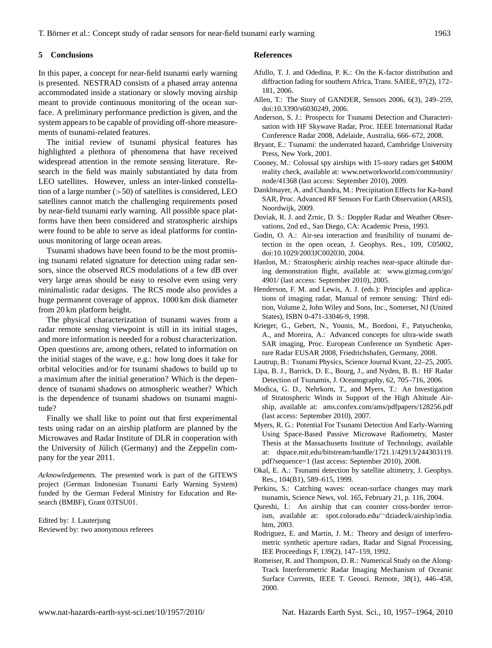# **5 Conclusions**

In this paper, a concept for near-field tsunami early warning is presented. NESTRAD consists of a phased array antenna accommodated inside a stationary or slowly moving airship meant to provide continuous monitoring of the ocean surface. A preliminary performance prediction is given, and the system appears to be capable of providing off-shore measurements of tsunami-related features.

The initial review of tsunami physical features has highlighted a plethora of phenomena that have received widespread attention in the remote sensing literature. Research in the field was mainly substantiated by data from LEO satellites. However, unless an inter-linked constellation of a large number  $(>50)$  of satellites is considered, LEO satellites cannot match the challenging requirements posed by near-field tsunami early warning. All possible space platforms have then been considered and stratospheric airships were found to be able to serve as ideal platforms for continuous monitoring of large ocean areas.

Tsunami shadows have been found to be the most promising tsunami related signature for detection using radar sensors, since the observed RCS modulations of a few dB over very large areas should be easy to resolve even using very minimalistic radar designs. The RCS mode also provides a huge permanent coverage of approx. 1000 km disk diameter from 20 km platform height.

The physical characterization of tsunami waves from a radar remote sensing viewpoint is still in its initial stages, and more information is needed for a robust characterization. Open questions are, among others, related to information on the initial stages of the wave, e.g.: how long does it take for orbital velocities and/or for tsunami shadows to build up to a maximum after the initial generation? Which is the dependence of tsunami shadows on atmospheric weather? Which is the dependence of tsunami shadows on tsunami magnitude?

Finally we shall like to point out that first experimental tests using radar on an airship platform are planned by the Microwaves and Radar Institute of DLR in cooperation with the University of Jülich (Germany) and the Zeppelin company for the year 2011.

*Acknowledgements.* The presented work is part of the GITEWS project (German Indonesian Tsunami Early Warning System) funded by the German Federal Ministry for Education and Research (BMBF), Grant 03TSU01.

Edited by: J. Lauterjung Reviewed by: two anonymous referees

#### **References**

- Afullo, T. J. and Odedina, P. K.: On the K-factor distribution and diffraction fading for southern Africa, Trans. SAIEE, 97(2), 172– 181, 2006.
- Allen, T.: The Story of GANDER, Sensors 2006, 6(3), 249–259, doi:10.3390/s6030249, 2006.
- Anderson, S. J.: Prospects for Tsunami Detection and Characterisation with HF Skywave Radar, Proc. IEEE International Radar Conference Radar 2008, Adelaide, Australia, 666–672, 2008.
- Bryant, E.: Tsunami: the underrated hazard, Cambridge University Press, New York, 2001.
- Cooney, M.: Colossal spy airships with 15-story radars get \$400M reality check, available at: [www.networkworld.com/community/](www.networkworld.com/community/node/41368) [node/41368](www.networkworld.com/community/node/41368) (last access: September 2010), 2009.
- Danklmayer, A. and Chandra, M.: Precipitation Effects for Ka-band SAR, Proc. Advanced RF Sensors For Earth Observation (ARSI), Noordwijk, 2009.
- Doviak, R. J. and Zrnic, D. S.: Doppler Radar and Weather Observations, 2nd ed., San Diego, CA: Academic Press, 1993.
- Godin, O. A.: Air-sea interaction and feasibility of tsunami detection in the open ocean, J. Geophys. Res., 109, C05002, doi:10.1029/2003JC002030, 2004.
- Hanlon, M.: Stratospheric airship reaches near-space altitude during demonstration flight, available at: [www.gizmag.com/go/](www.gizmag.com/go/4901/) [4901/](www.gizmag.com/go/4901/) (last access: September 2010), 2005.
- Henderson, F. M. and Lewis, A. J. (eds.): Principles and applications of imaging radar, Manual of remote sensing: Third edition, Volume 2, John Wiley and Sons, Inc., Somerset, NJ (United States), ISBN 0-471-33046-9, 1998.
- Krieger, G., Gebert, N., Younis, M., Bordoni, F., Patyuchenko, A., and Moreira, A.: Advanced concepts for ultra-wide swath SAR imaging, Proc. European Conference on Synthetic Aperture Radar EUSAR 2008, Friedrichshafen, Germany, 2008.
- Lautrup, B.: Tsunami Physics, Science Journal Kvant, 22–25, 2005.
- Lipa, B. J., Barrick, D. E., Bourg, J., and Nyden, B. B.: HF Radar Detection of Tsunamis, J. Oceanography, 62, 705–716, 2006.
- Modica, G. D., Nehrkorn, T., and Myers, T.: An Investigation of Stratospheric Winds in Support of the High Altitude Airship, available at: <ams.confex.com/ams/pdfpapers/128256.pdf> (last access: September 2010), 2007.
- Myers, R. G.: Potential For Tsunami Detection And Early-Warning Using Space-Based Passive Microwave Radiometry, Master Thesis at the Massachusetts Institute of Technology, available at: [dspace.mit.edu/bitstream/handle/1721.1/42913/244303119.](dspace.mit.edu/bitstream/handle/1721.1/42913/244303119.pdf?sequence=1) [pdf?sequence=1](dspace.mit.edu/bitstream/handle/1721.1/42913/244303119.pdf?sequence=1) (last access: September 2010), 2008.
- Okal, E. A.: Tsunami detection by satellite altimetry, J. Geophys. Res., 104(B1), 589–615, 1999.
- Perkins, S.: Catching waves: ocean-surface changes may mark tsunamis, Science News, vol. 165, February 21, p. 116, 2004.
- Qureshi, I.: An airship that can counter cross-border terrorism, available at: spot.colorado.edu/∼[dziadeck/airship/india.](spot.colorado.edu/~dziadeck/airship/india.htm) [htm,](spot.colorado.edu/~dziadeck/airship/india.htm) 2003.
- Rodriguez, E. and Martin, J. M.: Theory and design of interferometric synthetic aperture radars, Radar and Signal Processing, IEE Proceedings F, 139(2), 147–159, 1992.
- Romeiser, R. and Thompson, D. R.: Numerical Study on the Along-Track Interferometric Radar Imaging Mechanism of Oceanic Surface Currents, IEEE T. Geosci. Remote, 38(1), 446–458, 2000.